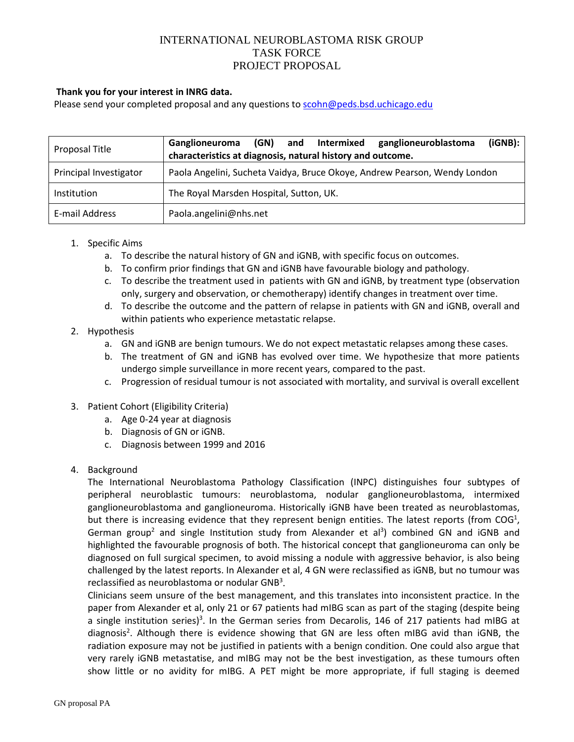# INTERNATIONAL NEUROBLASTOMA RISK GROUP TASK FORCE PROJECT PROPOSAL

#### **Thank you for your interest in INRG data.**

Please send your completed proposal and any questions to [scohn@peds.bsd.uchicago.edu](mailto:scohn@peds.bsd.uchicago.edu)

| Proposal Title         | (iGNB):<br>(GN) and Intermixed<br>ganglioneuroblastoma<br>Ganglioneuroma<br>characteristics at diagnosis, natural history and outcome. |
|------------------------|----------------------------------------------------------------------------------------------------------------------------------------|
| Principal Investigator | Paola Angelini, Sucheta Vaidya, Bruce Okoye, Andrew Pearson, Wendy London                                                              |
| Institution            | The Royal Marsden Hospital, Sutton, UK.                                                                                                |
| E-mail Address         | Paola.angelini@nhs.net                                                                                                                 |

#### 1. Specific Aims

- a. To describe the natural history of GN and iGNB, with specific focus on outcomes.
- b. To confirm prior findings that GN and iGNB have favourable biology and pathology.
- c. To describe the treatment used in patients with GN and iGNB, by treatment type (observation only, surgery and observation, or chemotherapy) identify changes in treatment over time.
- d. To describe the outcome and the pattern of relapse in patients with GN and iGNB, overall and within patients who experience metastatic relapse.

### 2. Hypothesis

- a. GN and iGNB are benign tumours. We do not expect metastatic relapses among these cases.
- b. The treatment of GN and iGNB has evolved over time. We hypothesize that more patients undergo simple surveillance in more recent years, compared to the past.
- c. Progression of residual tumour is not associated with mortality, and survival is overall excellent
- 3. Patient Cohort (Eligibility Criteria)
	- a. Age 0-24 year at diagnosis
	- b. Diagnosis of GN or iGNB.
	- c. Diagnosis between 1999 and 2016
- 4. Background

The International Neuroblastoma Pathology Classification (INPC) distinguishes four subtypes of peripheral neuroblastic tumours: neuroblastoma, nodular ganglioneuroblastoma, intermixed ganglioneuroblastoma and ganglioneuroma. Historically iGNB have been treated as neuroblastomas, but there is increasing evidence that they represent benign entities. The latest reports (from COG<sup>1</sup>, German group<sup>2</sup> and single Institution study from Alexander et al<sup>3</sup>) combined GN and iGNB and highlighted the favourable prognosis of both. The historical concept that ganglioneuroma can only be diagnosed on full surgical specimen, to avoid missing a nodule with aggressive behavior, is also being challenged by the latest reports. In Alexander et al, 4 GN were reclassified as iGNB, but no tumour was reclassified as neuroblastoma or nodular GNB<sup>3</sup>.

Clinicians seem unsure of the best management, and this translates into inconsistent practice. In the paper from Alexander et al, only 21 or 67 patients had mIBG scan as part of the staging (despite being a single institution series)<sup>3</sup>. In the German series from Decarolis, 146 of 217 patients had mIBG at diagnosis<sup>2</sup>. Although there is evidence showing that GN are less often mIBG avid than iGNB, the radiation exposure may not be justified in patients with a benign condition. One could also argue that very rarely iGNB metastatise, and mIBG may not be the best investigation, as these tumours often show little or no avidity for mIBG. A PET might be more appropriate, if full staging is deemed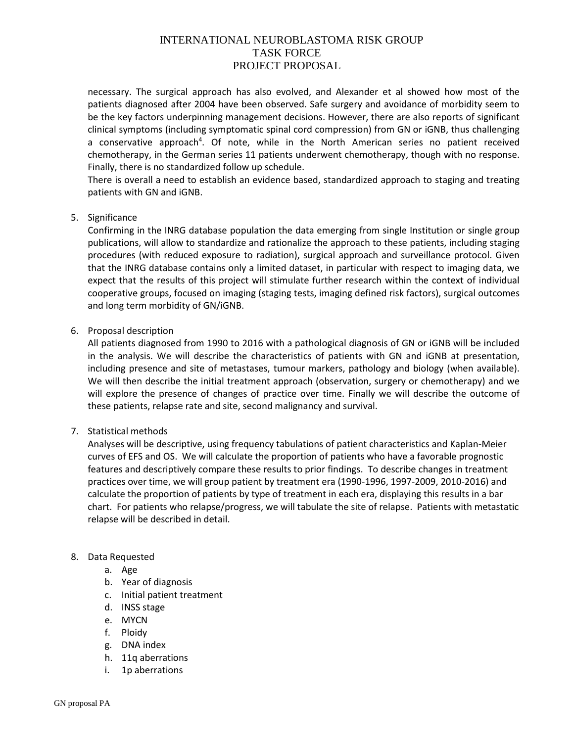# INTERNATIONAL NEUROBLASTOMA RISK GROUP TASK FORCE PROJECT PROPOSAL

necessary. The surgical approach has also evolved, and Alexander et al showed how most of the patients diagnosed after 2004 have been observed. Safe surgery and avoidance of morbidity seem to be the key factors underpinning management decisions. However, there are also reports of significant clinical symptoms (including symptomatic spinal cord compression) from GN or iGNB, thus challenging a conservative approach<sup>4</sup>. Of note, while in the North American series no patient received chemotherapy, in the German series 11 patients underwent chemotherapy, though with no response. Finally, there is no standardized follow up schedule.

There is overall a need to establish an evidence based, standardized approach to staging and treating patients with GN and iGNB.

### 5. Significance

Confirming in the INRG database population the data emerging from single Institution or single group publications, will allow to standardize and rationalize the approach to these patients, including staging procedures (with reduced exposure to radiation), surgical approach and surveillance protocol. Given that the INRG database contains only a limited dataset, in particular with respect to imaging data, we expect that the results of this project will stimulate further research within the context of individual cooperative groups, focused on imaging (staging tests, imaging defined risk factors), surgical outcomes and long term morbidity of GN/iGNB.

### 6. Proposal description

All patients diagnosed from 1990 to 2016 with a pathological diagnosis of GN or iGNB will be included in the analysis. We will describe the characteristics of patients with GN and iGNB at presentation, including presence and site of metastases, tumour markers, pathology and biology (when available). We will then describe the initial treatment approach (observation, surgery or chemotherapy) and we will explore the presence of changes of practice over time. Finally we will describe the outcome of these patients, relapse rate and site, second malignancy and survival.

### 7. Statistical methods

Analyses will be descriptive, using frequency tabulations of patient characteristics and Kaplan-Meier curves of EFS and OS. We will calculate the proportion of patients who have a favorable prognostic features and descriptively compare these results to prior findings. To describe changes in treatment practices over time, we will group patient by treatment era (1990-1996, 1997-2009, 2010-2016) and calculate the proportion of patients by type of treatment in each era, displaying this results in a bar chart. For patients who relapse/progress, we will tabulate the site of relapse. Patients with metastatic relapse will be described in detail.

### 8. Data Requested

- a. Age
- b. Year of diagnosis
- c. Initial patient treatment
- d. INSS stage
- e. MYCN
- f. Ploidy
- g. DNA index
- h. 11q aberrations
- i. 1p aberrations